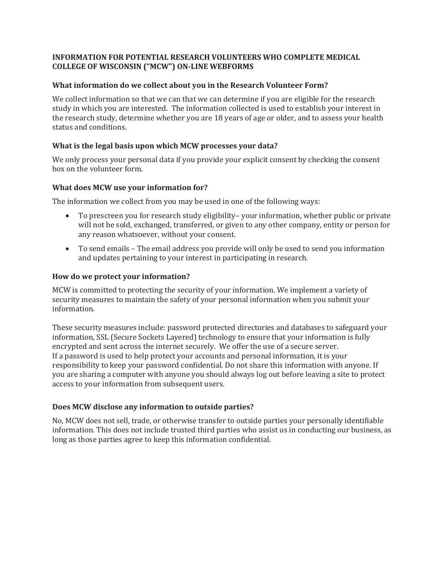## **INFORMATION FOR POTENTIAL RESEARCH VOLUNTEERS WHO COMPLETE MEDICAL COLLEGE OF WISCONSIN ("MCW") ON-LINE WEBFORMS**

#### **What information do we collect about you in the Research Volunteer Form?**

We collect information so that we can that we can determine if you are eligible for the research study in which you are interested. The information collected is used to establish your interest in the research study, determine whether you are 18 years of age or older, and to assess your health status and conditions.

# **What is the legal basis upon which MCW processes your data?**

We only process your personal data if you provide your explicit consent by checking the consent box on the volunteer form.

# **What does MCW use your information for?**

The information we collect from you may be used in one of the following ways:

- To prescreen you for research study eligibility– your information, whether public or private will not be sold, exchanged, transferred, or given to any other company, entity or person for any reason whatsoever, without your consent.
- To send emails The email address you provide will only be used to send you information and updates pertaining to your interest in participating in research.

## **How do we protect your information?**

MCW is committed to protecting the security of your information. We implement a variety of security measures to maintain the safety of your personal information when you submit your information.

These security measures include: password protected directories and databases to safeguard your information, SSL (Secure Sockets Layered) technology to ensure that your information is fully encrypted and sent across the internet securely. We offer the use of a secure server. If a password is used to help protect your accounts and personal information, it is your responsibility to keep your password confidential. Do not share this information with anyone. If you are sharing a computer with anyone you should always log out before leaving a site to protect access to your information from subsequent users.

# **Does MCW disclose any information to outside parties?**

No, MCW does not sell, trade, or otherwise transfer to outside parties your personally identifiable information. This does not include trusted third parties who assist us in conducting our business, as long as those parties agree to keep this information confidential.